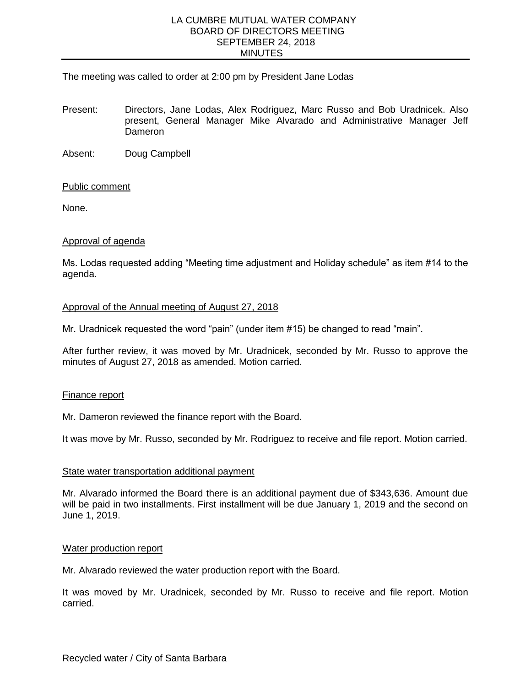#### LA CUMBRE MUTUAL WATER COMPANY BOARD OF DIRECTORS MEETING SEPTEMBER 24, 2018 MINUTES

The meeting was called to order at 2:00 pm by President Jane Lodas

- Present: Directors, Jane Lodas, Alex Rodriguez, Marc Russo and Bob Uradnicek. Also present, General Manager Mike Alvarado and Administrative Manager Jeff Dameron
- Absent: Doug Campbell

# Public comment

None.

# Approval of agenda

Ms. Lodas requested adding "Meeting time adjustment and Holiday schedule" as item #14 to the agenda.

# Approval of the Annual meeting of August 27, 2018

Mr. Uradnicek requested the word "pain" (under item #15) be changed to read "main".

After further review, it was moved by Mr. Uradnicek, seconded by Mr. Russo to approve the minutes of August 27, 2018 as amended. Motion carried.

# Finance report

Mr. Dameron reviewed the finance report with the Board.

It was move by Mr. Russo, seconded by Mr. Rodriguez to receive and file report. Motion carried.

# State water transportation additional payment

Mr. Alvarado informed the Board there is an additional payment due of \$343,636. Amount due will be paid in two installments. First installment will be due January 1, 2019 and the second on June 1, 2019.

# Water production report

Mr. Alvarado reviewed the water production report with the Board.

It was moved by Mr. Uradnicek, seconded by Mr. Russo to receive and file report. Motion carried.